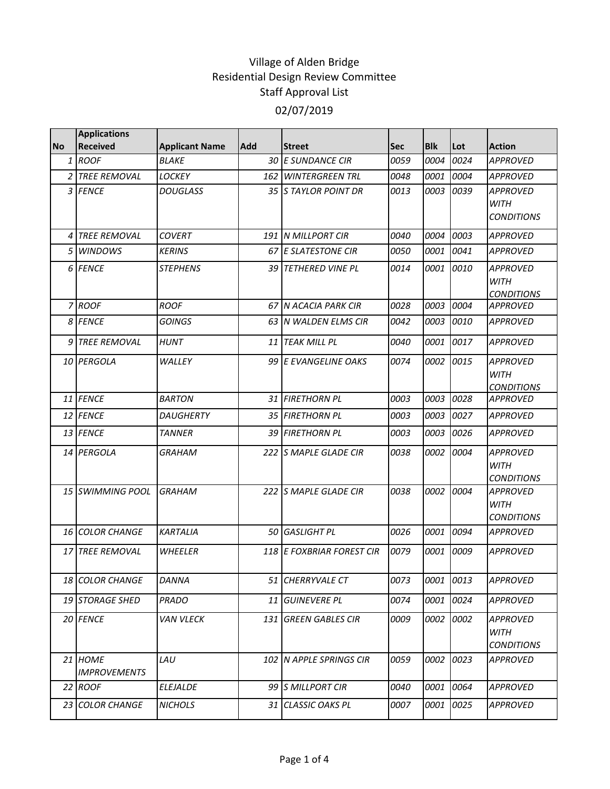|           | <b>Applications</b>            |                       |            |                            |            |            |           |                                                     |
|-----------|--------------------------------|-----------------------|------------|----------------------------|------------|------------|-----------|-----------------------------------------------------|
| <b>No</b> | <b>Received</b>                | <b>Applicant Name</b> | <b>Add</b> | <b>Street</b>              | <b>Sec</b> | <b>Blk</b> | Lot       | <b>Action</b>                                       |
|           | $1$ ROOF                       | <b>BLAKE</b>          |            | 30 E SUNDANCE CIR          | 0059       | 0004       | 0024      | <b>APPROVED</b>                                     |
|           | 2 TREE REMOVAL                 | LOCKEY                |            | <b>162 WINTERGREEN TRL</b> | 0048       | 0001       | 0004      | <b>APPROVED</b>                                     |
|           | 3 FENCE                        | <b>DOUGLASS</b>       |            | 35 S TAYLOR POINT DR       | 0013       | 0003       | 0039      | <b>APPROVED</b><br><b>WITH</b><br><b>CONDITIONS</b> |
| 4         | <b>TREE REMOVAL</b>            | <b>COVERT</b>         |            | 191 N MILLPORT CIR         | 0040       | 0004       | 0003      | <b>APPROVED</b>                                     |
| 5         | <b>WINDOWS</b>                 | <b>KERINS</b>         |            | 67 E SLATESTONE CIR        | 0050       | 0001       | 0041      | <b>APPROVED</b>                                     |
|           | 6 FENCE                        | <b>STEPHENS</b>       |            | 39 TETHERED VINE PL        | 0014       | 0001       | 0010      | <b>APPROVED</b><br><b>WITH</b><br><b>CONDITIONS</b> |
|           | 7 ROOF                         | <b>ROOF</b>           |            | 67 N ACACIA PARK CIR       | 0028       | 0003       | 0004      | <b>APPROVED</b>                                     |
|           | 8 FENCE                        | <b>GOINGS</b>         |            | 63 IN WALDEN ELMS CIR      | 0042       | 0003       | 0010      | <b>APPROVED</b>                                     |
|           | 9 TREE REMOVAL                 | <b>HUNT</b>           |            | 11 TEAK MILL PL            | 0040       | 0001       | 0017      | <b>APPROVED</b>                                     |
|           | 10 PERGOLA                     | WALLEY                |            | 99 E EVANGELINE OAKS       | 0074       | 0002       | 0015      | <b>APPROVED</b><br><b>WITH</b><br><b>CONDITIONS</b> |
|           | 11 FENCE                       | <b>BARTON</b>         |            | 31 FIRETHORN PL            | 0003       | 0003       | 0028      | APPROVED                                            |
|           | 12 FENCE                       | <b>DAUGHERTY</b>      |            | 35 FIRETHORN PL            | 0003       | 0003       | 0027      | <b>APPROVED</b>                                     |
|           | 13 FENCE                       | TANNER                |            | 39 FIRETHORN PL            | 0003       | 0003       | 0026      | <b>APPROVED</b>                                     |
|           | 14 PERGOLA                     | <b>GRAHAM</b>         |            | 222 S MAPLE GLADE CIR      | 0038       | 0002       | 0004      | <b>APPROVED</b><br><b>WITH</b><br><b>CONDITIONS</b> |
|           | 15 SWIMMING POOL               | <b>GRAHAM</b>         |            | 222 S MAPLE GLADE CIR      | 0038       | 0002 0004  |           | <b>APPROVED</b><br><b>WITH</b><br><b>CONDITIONS</b> |
|           | <b>16 COLOR CHANGE</b>         | <b>KARTALIA</b>       |            | 50 GASLIGHT PL             | 0026       | 0001       | 0094      | <b>APPROVED</b>                                     |
|           | 17 TREE REMOVAL                | <b>WHEELER</b>        |            | 118 E FOXBRIAR FOREST CIR  | 0079       | 0001       | 0009      | <b>APPROVED</b>                                     |
|           | 18 COLOR CHANGE                | DANNA                 |            | 51 CHERRYVALE CT           | 0073       | 0001 0013  |           | <b>APPROVED</b>                                     |
|           | <b>19 STORAGE SHED</b>         | <b>PRADO</b>          |            | 11 GUINEVERE PL            | 0074       | 0001       | 0024      | <b>APPROVED</b>                                     |
|           | 20 FENCE                       | <b>VAN VLECK</b>      |            | 131 GREEN GABLES CIR       | 0009       |            | 0002 0002 | <b>APPROVED</b><br><b>WITH</b><br><b>CONDITIONS</b> |
|           | 21 HOME<br><b>IMPROVEMENTS</b> | LAU                   |            | 102 N APPLE SPRINGS CIR    | 0059       |            | 0002 0023 | <b>APPROVED</b>                                     |
|           | 22 ROOF                        | ELEJALDE              |            | 99 S MILLPORT CIR          | 0040       | 0001       | 0064      | <b>APPROVED</b>                                     |
|           | 23 COLOR CHANGE                | <b>NICHOLS</b>        |            | 31 CLASSIC OAKS PL         | 0007       | 0001       | 0025      | APPROVED                                            |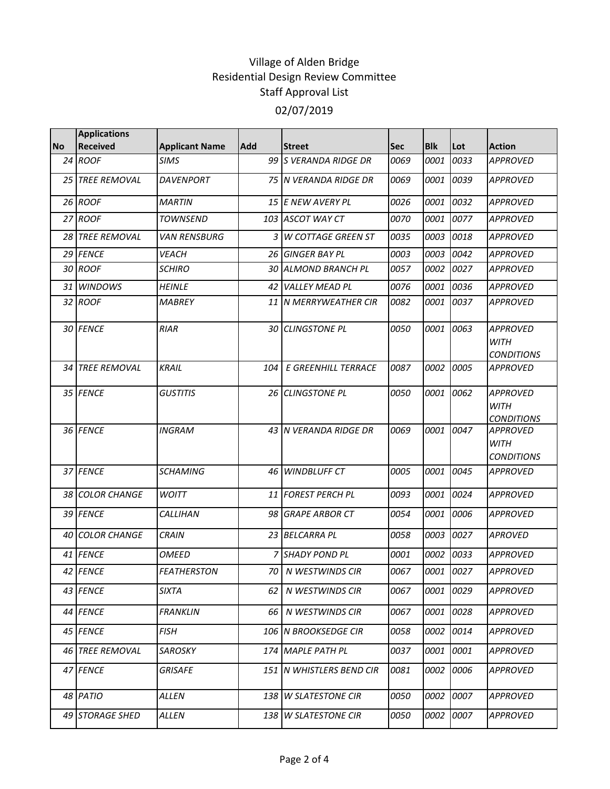|           | <b>Applications</b>    |                       |            |                          |             |            |      |                                                     |
|-----------|------------------------|-----------------------|------------|--------------------------|-------------|------------|------|-----------------------------------------------------|
| <b>No</b> | <b>Received</b>        | <b>Applicant Name</b> | <b>Add</b> | <b>Street</b>            | <b>Sec</b>  | <b>Blk</b> | Lot  | <b>Action</b>                                       |
|           | 24 ROOF                | SIMS                  |            | 99 S VERANDA RIDGE DR    | 0069        | 0001       | 0033 | <b>APPROVED</b>                                     |
|           | 25 TREE REMOVAL        | <b>DAVENPORT</b>      |            | 75 IN VERANDA RIDGE DR   | 0069        | 0001       | 0039 | <b>APPROVED</b>                                     |
|           | 26 ROOF                | <b>MARTIN</b>         |            | 15 E NEW AVERY PL        | 0026        | 0001       | 0032 | <b>APPROVED</b>                                     |
|           | 27 ROOF                | <b>TOWNSEND</b>       |            | 103 ASCOT WAY CT         | 0070        | 0001       | 0077 | <b>APPROVED</b>                                     |
|           | 28 TREE REMOVAL        | <b>VAN RENSBURG</b>   |            | 3 W COTTAGE GREEN ST     | 0035        | 0003       | 0018 | <b>APPROVED</b>                                     |
|           | 29 FENCE               | <b>VEACH</b>          |            | 26 GINGER BAY PL         | 0003        | 0003       | 0042 | <b>APPROVED</b>                                     |
|           | 30 ROOF                | <b>SCHIRO</b>         | 30         | <b>ALMOND BRANCH PL</b>  | 0057        | 0002       | 0027 | <b>APPROVED</b>                                     |
|           | 31 WINDOWS             | <b>HEINLE</b>         | 42         | <b>VALLEY MEAD PL</b>    | 0076        | 0001       | 0036 | <b>APPROVED</b>                                     |
|           | 32 ROOF                | <b>MABREY</b>         |            | 11 IN MERRYWEATHER CIR   | 0082        | 0001       | 0037 | <b>APPROVED</b>                                     |
|           | 30 FENCE               | <b>RIAR</b>           | 30         | <b>CLINGSTONE PL</b>     | 0050        | 0001       | 0063 | <b>APPROVED</b><br><b>WITH</b><br><b>CONDITIONS</b> |
|           | <b>34 TREE REMOVAL</b> | <b>KRAIL</b>          | 104        | E GREENHILL TERRACE      | 0087        | 0002       | 0005 | <b>APPROVED</b>                                     |
|           | 35 FENCE               | <b>GUSTITIS</b>       |            | 26 CLINGSTONE PL         | <i>0050</i> | 0001       | 0062 | <b>APPROVED</b><br><b>WITH</b><br><b>CONDITIONS</b> |
|           | 36 FENCE               | <b>INGRAM</b>         |            | 43 IN VERANDA RIDGE DR   | 0069        | 0001       | 0047 | <b>APPROVED</b><br><b>WITH</b><br><b>CONDITIONS</b> |
|           | 37 FENCE               | <b>SCHAMING</b>       | 46         | <b>WINDBLUFF CT</b>      | 0005        | 0001       | 0045 | <b>APPROVED</b>                                     |
|           | 38 COLOR CHANGE        | <b>WOITT</b>          |            | 11 FOREST PERCH PL       | 0093        | 0001       | 0024 | <b>APPROVED</b>                                     |
|           | 39 FENCE               | <i>CALLIHAN</i>       | 98         | <b>GRAPE ARBOR CT</b>    | 0054        | 0001       | 0006 | <b>APPROVED</b>                                     |
|           | 40 COLOR CHANGE        | <b>CRAIN</b>          |            | 23 BELCARRA PL           | 0058        | 0003       | 0027 | <b>APROVED</b>                                      |
|           | 41 FENCE               | <b>OMEED</b>          | 7          | <b>SHADY POND PL</b>     | 0001        | 0002       | 0033 | <b>APPROVED</b>                                     |
|           | 42 FENCE               | <b>FEATHERSTON</b>    |            | 70 N WESTWINDS CIR       | 0067        | 0001       | 0027 | <b>APPROVED</b>                                     |
|           | 43 FENCE               | <b>SIXTA</b>          | 62         | N WESTWINDS CIR          | 0067        | 0001       | 0029 | <b>APPROVED</b>                                     |
|           | 44 FENCE               | <b>FRANKLIN</b>       | 66         | N WESTWINDS CIR          | 0067        | 0001       | 0028 | <b>APPROVED</b>                                     |
|           | 45 FENCE               | <b>FISH</b>           |            | 106 N BROOKSEDGE CIR     | 0058        | 0002       | 0014 | <b>APPROVED</b>                                     |
|           | 46 TREE REMOVAL        | <b>SAROSKY</b>        |            | 174 MAPLE PATH PL        | 0037        | 0001       | 0001 | <b>APPROVED</b>                                     |
|           | 47 FENCE               | <b>GRISAFE</b>        |            | 151 N WHISTLERS BEND CIR | 0081        | 0002       | 0006 | <b>APPROVED</b>                                     |
|           | 48 PATIO               | <b>ALLEN</b>          |            | 138 W SLATESTONE CIR     | 0050        | 0002       | 0007 | <b>APPROVED</b>                                     |
|           | 49 STORAGE SHED        | ALLEN                 | 138        | <b>W SLATESTONE CIR</b>  | 0050        | 0002       | 0007 | <b>APPROVED</b>                                     |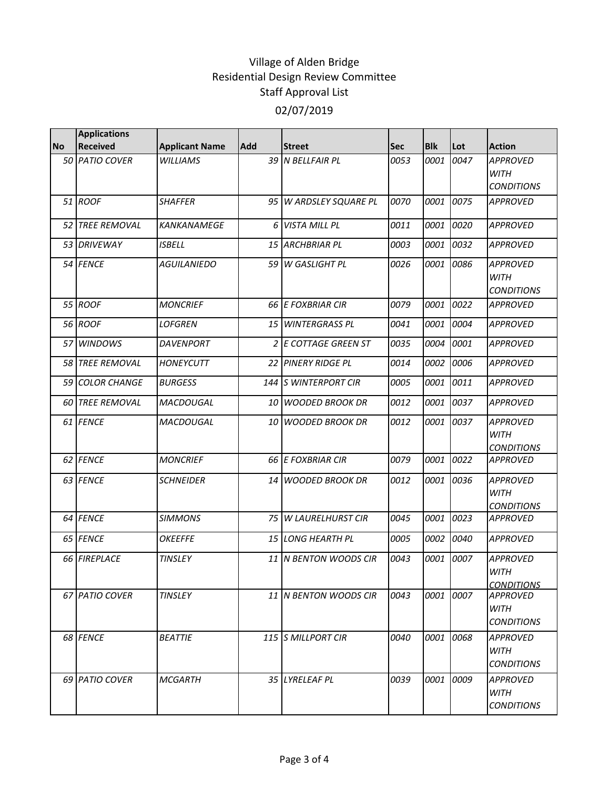|           | <b>Applications</b>    |                       |            |                         |            |            |      |                                                     |
|-----------|------------------------|-----------------------|------------|-------------------------|------------|------------|------|-----------------------------------------------------|
| <b>No</b> | <b>Received</b>        | <b>Applicant Name</b> | <b>Add</b> | <b>Street</b>           | <b>Sec</b> | <b>Blk</b> | Lot  | <b>Action</b>                                       |
|           | 50 PATIO COVER         | WILLIAMS              |            | 39 N BELLFAIR PL        | 0053       | 0001       | 0047 | <b>APPROVED</b><br><b>WITH</b><br><b>CONDITIONS</b> |
|           | 51 ROOF                | <b>SHAFFER</b>        |            | 95 W ARDSLEY SQUARE PL  | 0070       | 0001       | 0075 | <b>APPROVED</b>                                     |
|           | <b>52 TREE REMOVAL</b> | <b>KANKANAMEGE</b>    |            | 6 VISTA MILL PL         | 0011       | 0001       | 0020 | <b>APPROVED</b>                                     |
|           | 53 DRIVEWAY            | <b>ISBELL</b>         | 15         | <b>ARCHBRIAR PL</b>     | 0003       | 0001       | 0032 | <b>APPROVED</b>                                     |
|           | 54 FENCE               | <b>AGUILANIEDO</b>    |            | 59 W GASLIGHT PL        | 0026       | 0001       | 0086 | <b>APPROVED</b><br><b>WITH</b><br><b>CONDITIONS</b> |
|           | 55 ROOF                | <b>MONCRIEF</b>       |            | 66 E FOXBRIAR CIR       | 0079       | 0001       | 0022 | <b>APPROVED</b>                                     |
|           | 56 ROOF                | <b>LOFGREN</b>        |            | 15 WINTERGRASS PL       | 0041       | 0001       | 0004 | <b>APPROVED</b>                                     |
|           | 57 WINDOWS             | <b>DAVENPORT</b>      |            | 2 E COTTAGE GREEN ST    | 0035       | 0004       | 0001 | <b>APPROVED</b>                                     |
|           | 58 TREE REMOVAL        | <b>HONEYCUTT</b>      |            | 22 PINERY RIDGE PL      | 0014       | 0002       | 0006 | <b>APPROVED</b>                                     |
|           | 59 COLOR CHANGE        | <b>BURGESS</b>        | 144        | <b>S WINTERPORT CIR</b> | 0005       | 0001       | 0011 | <b>APPROVED</b>                                     |
|           | <b>60 TREE REMOVAL</b> | MACDOUGAL             | 10         | <b>WOODED BROOK DR</b>  | 0012       | 0001       | 0037 | <b>APPROVED</b>                                     |
|           | 61 FENCE               | MACDOUGAL             |            | 10 WOODED BROOK DR      | 0012       | 0001       | 0037 | <b>APPROVED</b><br><b>WITH</b><br><b>CONDITIONS</b> |
|           | 62 FENCE               | <b>MONCRIEF</b>       |            | 66 E FOXBRIAR CIR       | 0079       | 0001       | 0022 | <b>APPROVED</b>                                     |
|           | 63 FENCE               | <b>SCHNEIDER</b>      |            | 14 WOODED BROOK DR      | 0012       | 0001       | 0036 | <b>APPROVED</b><br><b>WITH</b><br><b>CONDITIONS</b> |
|           | 64 FENCE               | <b>SIMMONS</b>        |            | 75   W LAURELHURST CIR  | 0045       | 0001       | 0023 | <b>APPROVED</b>                                     |
|           | 65 FENCE               | <b>OKEEFFE</b>        |            | 15 LONG HEARTH PL       | 0005       | 0002       | 0040 | <b>APPROVED</b>                                     |
|           | 66 FIREPLACE           | <b>TINSLEY</b>        |            | 11 IN BENTON WOODS CIR  | 0043       | 0001       | 0007 | <b>APPROVED</b><br><b>WITH</b><br><b>CONDITIONS</b> |
|           | 67 PATIO COVER         | TINSLEY               |            | 11   N BENTON WOODS CIR | 0043       | 0001       | 0007 | <b>APPROVED</b><br><b>WITH</b><br><b>CONDITIONS</b> |
|           | 68 FENCE               | <b>BEATTIE</b>        |            | 115 S MILLPORT CIR      | 0040       | 0001       | 0068 | <b>APPROVED</b><br>WITH<br><i>CONDITIONS</i>        |
|           | 69 PATIO COVER         | <b>MCGARTH</b>        |            | 35 LYRELEAF PL          | 0039       | 0001       | 0009 | <b>APPROVED</b><br>WITH<br><b>CONDITIONS</b>        |